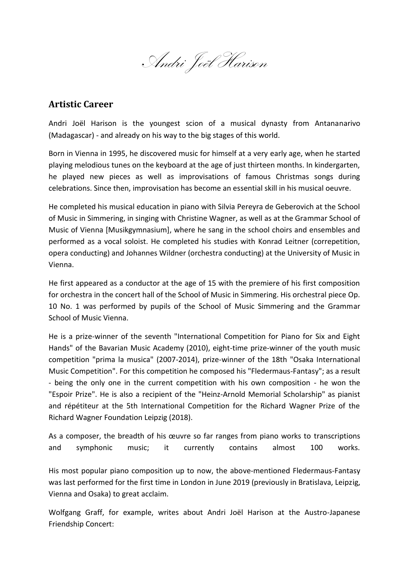Andri Joël Harison

## **Artistic Career**

Andri Joël Harison is the youngest scion of a musical dynasty from Antananarivo (Madagascar) - and already on his way to the big stages of this world.

Born in Vienna in 1995, he discovered music for himself at a very early age, when he started playing melodious tunes on the keyboard at the age of just thirteen months. In kindergarten, he played new pieces as well as improvisations of famous Christmas songs during celebrations. Since then, improvisation has become an essential skill in his musical oeuvre.

He completed his musical education in piano with Silvia Pereyra de Geberovich at the School of Music in Simmering, in singing with Christine Wagner, as well as at the Grammar School of Music of Vienna [Musikgymnasium], where he sang in the school choirs and ensembles and performed as a vocal soloist. He completed his studies with Konrad Leitner (correpetition, opera conducting) and Johannes Wildner (orchestra conducting) at the University of Music in Vienna.

He first appeared as a conductor at the age of 15 with the premiere of his first composition for orchestra in the concert hall of the School of Music in Simmering. His orchestral piece Op. 10 No. 1 was performed by pupils of the School of Music Simmering and the Grammar School of Music Vienna.

He is a prize-winner of the seventh "International Competition for Piano for Six and Eight Hands" of the Bavarian Music Academy (2010), eight-time prize-winner of the youth music competition "prima la musica" (2007-2014), prize-winner of the 18th "Osaka International Music Competition". For this competition he composed his "Fledermaus-Fantasy"; as a result - being the only one in the current competition with his own composition - he won the "Espoir Prize". He is also a recipient of the "Heinz-Arnold Memorial Scholarship" as pianist and répétiteur at the 5th International Competition for the Richard Wagner Prize of the Richard Wagner Foundation Leipzig (2018).

As a composer, the breadth of his œuvre so far ranges from piano works to transcriptions and symphonic music; it currently contains almost 100 works.

His most popular piano composition up to now, the above-mentioned Fledermaus-Fantasy was last performed for the first time in London in June 2019 (previously in Bratislava, Leipzig, Vienna and Osaka) to great acclaim.

Wolfgang Graff, for example, writes about Andri Joël Harison at the Austro-Japanese Friendship Concert: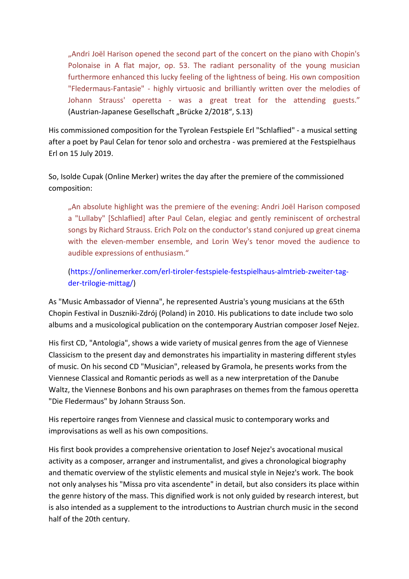"Andri Joël Harison opened the second part of the concert on the piano with Chopin's Polonaise in A flat major, op. 53. The radiant personality of the young musician furthermore enhanced this lucky feeling of the lightness of being. His own composition "Fledermaus-Fantasie" - highly virtuosic and brilliantly written over the melodies of Johann Strauss' operetta - was a great treat for the attending guests." (Austrian-Japanese Gesellschaft "Brücke 2/2018", S.13)

His commissioned composition for the Tyrolean Festspiele Erl "Schlaflied" - a musical setting after a poet by Paul Celan for tenor solo and orchestra - was premiered at the Festspielhaus Erl on 15 July 2019.

So, Isolde Cupak (Online Merker) writes the day after the premiere of the commissioned composition:

"An absolute highlight was the premiere of the evening: Andri Joël Harison composed a "Lullaby" [Schlaflied] after Paul Celan, elegiac and gently reminiscent of orchestral songs by Richard Strauss. Erich Polz on the conductor's stand conjured up great cinema with the eleven-member ensemble, and Lorin Wey's tenor moved the audience to audible expressions of enthusiasm."

[\(https://onlinemerker.com/erl-tiroler-festspiele-festspielhaus-almtrieb-zweiter-tag](https://onlinemerker.com/erl-tiroler-festspiele-festspielhaus-almtrieb-zweiter-tag-der-trilogie-mittag/)[der-trilogie-mittag/\)](https://onlinemerker.com/erl-tiroler-festspiele-festspielhaus-almtrieb-zweiter-tag-der-trilogie-mittag/)

As "Music Ambassador of Vienna", he represented Austria's young musicians at the 65th Chopin Festival in Duszniki-Zdrój (Poland) in 2010. His publications to date include two solo albums and a musicological publication on the contemporary Austrian composer Josef Nejez.

His first CD, "Antologia", shows a wide variety of musical genres from the age of Viennese Classicism to the present day and demonstrates his impartiality in mastering different styles of music. On his second CD "Musician", released by Gramola, he presents works from the Viennese Classical and Romantic periods as well as a new interpretation of the Danube Waltz, the Viennese Bonbons and his own paraphrases on themes from the famous operetta "Die Fledermaus" by Johann Strauss Son.

His repertoire ranges from Viennese and classical music to contemporary works and improvisations as well as his own compositions.

His first book provides a comprehensive orientation to Josef Nejez's avocational musical activity as a composer, arranger and instrumentalist, and gives a chronological biography and thematic overview of the stylistic elements and musical style in Nejez's work. The book not only analyses his "Missa pro vita ascendente" in detail, but also considers its place within the genre history of the mass. This dignified work is not only guided by research interest, but is also intended as a supplement to the introductions to Austrian church music in the second half of the 20th century.